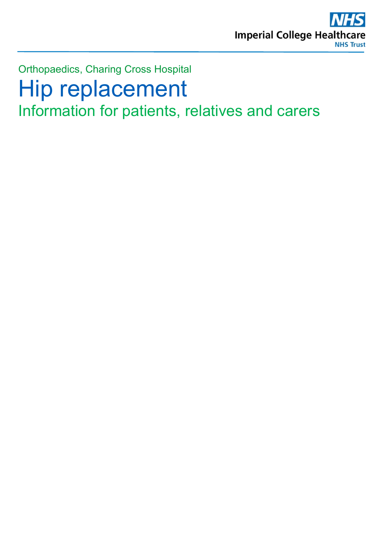

# Orthopaedics, Charing Cross Hospital Hip replacement Information for patients, relatives and carers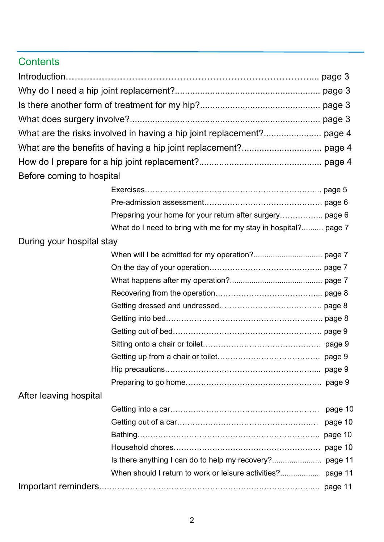## **Contents**

| Before coming to hospital |                                                                 |         |
|---------------------------|-----------------------------------------------------------------|---------|
|                           |                                                                 |         |
|                           |                                                                 |         |
|                           | Preparing your home for your return after surgery page 6        |         |
|                           | What do I need to bring with me for my stay in hospital? page 7 |         |
| During your hospital stay |                                                                 |         |
|                           |                                                                 |         |
|                           |                                                                 |         |
|                           |                                                                 |         |
|                           |                                                                 |         |
|                           |                                                                 |         |
|                           |                                                                 |         |
|                           |                                                                 |         |
|                           |                                                                 |         |
|                           |                                                                 |         |
|                           |                                                                 |         |
|                           |                                                                 |         |
| After leaving hospital    |                                                                 |         |
|                           |                                                                 | page 10 |
|                           |                                                                 | page 10 |
|                           |                                                                 | page 10 |
|                           |                                                                 | page 10 |
|                           | Is there anything I can do to help my recovery?                 | page 11 |
|                           | When should I return to work or leisure activities?             | page 11 |
|                           |                                                                 |         |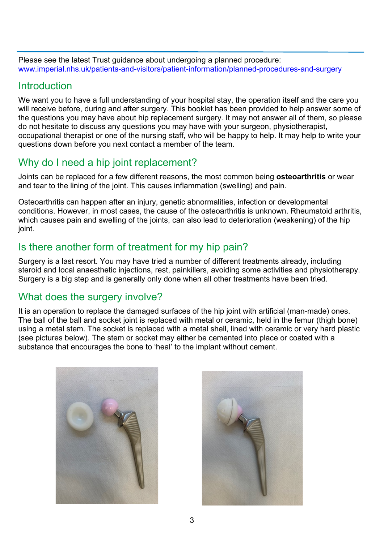Please see the latest Trust guidance about undergoing a planned procedure: [www.imperial.nhs.uk/patients-and-visitors/patient-information/planned-procedures-and-surgery](http://www.imperial.nhs.uk/patients-and-visitors/patient-information/planned-procedures-and-surgery)

#### **Introduction**

We want you to have a full understanding of your hospital stay, the operation itself and the care you will receive before, during and after surgery. This booklet has been provided to help answer some of the questions you may have about hip replacement surgery. It may not answer all of them, so please do not hesitate to discuss any questions you may have with your surgeon, physiotherapist, occupational therapist or one of the nursing staff, who will be happy to help. It may help to write your questions down before you next contact a member of the team.

## Why do I need a hip joint replacement?

Joints can be replaced for a few different reasons, the most common being **osteoarthritis** or wear and tear to the lining of the joint. This causes inflammation (swelling) and pain.

Osteoarthritis can happen after an injury, genetic abnormalities, infection or developmental conditions. However, in most cases, the cause of the osteoarthritis is unknown. Rheumatoid arthritis, which causes pain and swelling of the joints, can also lead to deterioration (weakening) of the hip joint.

## Is there another form of treatment for my hip pain?

Surgery is a last resort. You may have tried a number of different treatments already, including steroid and local anaesthetic injections, rest, painkillers, avoiding some activities and physiotherapy. Surgery is a big step and is generally only done when all other treatments have been tried.

## What does the surgery involve?

It is an operation to replace the damaged surfaces of the hip joint with artificial (man-made) ones. The ball of the ball and socket joint is replaced with metal or ceramic, held in the femur (thigh bone) using a metal stem. The socket is replaced with a metal shell, lined with ceramic or very hard plastic (see pictures below). The stem or socket may either be cemented into place or coated with a substance that encourages the bone to 'heal' to the implant without cement.



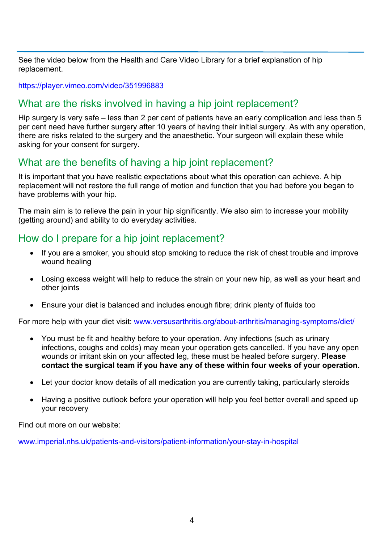See the video below from the Health and Care Video Library for a brief explanation of hip replacement.

<https://player.vimeo.com/video/351996883>

#### What are the risks involved in having a hip joint replacement?

Hip surgery is very safe – less than 2 per cent of patients have an early complication and less than 5 per cent need have further surgery after 10 years of having their initial surgery. As with any operation, there are risks related to the surgery and the anaesthetic. Your surgeon will explain these while asking for your consent for surgery.

## What are the benefits of having a hip joint replacement?

It is important that you have realistic expectations about what this operation can achieve. A hip replacement will not restore the full range of motion and function that you had before you began to have problems with your hip.

The main aim is to relieve the pain in your hip significantly. We also aim to increase your mobility (getting around) and ability to do everyday activities.

#### How do I prepare for a hip joint replacement?

- If you are a smoker, you should stop smoking to reduce the risk of chest trouble and improve wound healing
- Losing excess weight will help to reduce the strain on your new hip, as well as your heart and other joints
- Ensure your diet is balanced and includes enough fibre; drink plenty of fluids too

For more help with your diet visit: [www.versusarthritis.org/about-arthritis/managing-symptoms/diet/](https://www.versusarthritis.org/about-arthritis/managing-symptoms/diet/)

- You must be fit and healthy before to your operation. Any infections (such as urinary infections, coughs and colds) may mean your operation gets cancelled. If you have any open wounds or irritant skin on your affected leg, these must be healed before surgery. **Please contact the surgical team if you have any of these within four weeks of your operation.**
- Let your doctor know details of all medication you are currently taking, particularly steroids
- Having a positive outlook before your operation will help you feel better overall and speed up your recovery

Find out more on our website:

www.imperial.nhs.uk/patients-and-visitors/patient-information/your-stay-in-hospital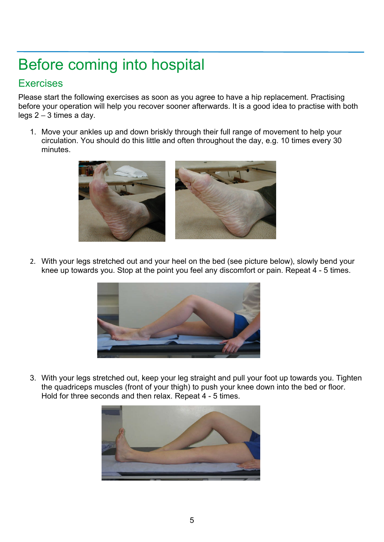# Before coming into hospital

#### **Exercises**

Please start the following exercises as soon as you agree to have a hip replacement. Practising before your operation will help you recover sooner afterwards. It is a good idea to practise with both legs  $2 - 3$  times a day.

1. Move your ankles up and down briskly through their full range of movement to help your circulation. You should do this little and often throughout the day, e.g. 10 times every 30 minutes.



2. With your legs stretched out and your heel on the bed (see picture below), slowly bend your knee up towards you. Stop at the point you feel any discomfort or pain. Repeat 4 - 5 times.



3. With your legs stretched out, keep your leg straight and pull your foot up towards you. Tighten the quadriceps muscles (front of your thigh) to push your knee down into the bed or floor. Hold for three seconds and then relax. Repeat 4 - 5 times.

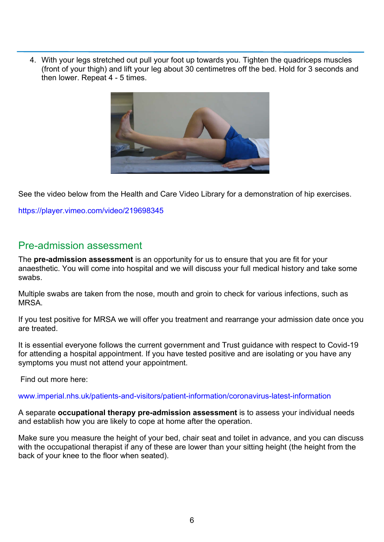4. With your legs stretched out pull your foot up towards you. Tighten the quadriceps muscles (front of your thigh) and lift your leg about 30 centimetres off the bed. Hold for 3 seconds and then lower. Repeat 4 - 5 times.



See the video below from the Health and Care Video Library for a demonstration of hip exercises.

<https://player.vimeo.com/video/219698345>

#### Pre-admission assessment

The **pre-admission assessment** is an opportunity for us to ensure that you are fit for your anaesthetic. You will come into hospital and we will discuss your full medical history and take some swabs.

Multiple swabs are taken from the nose, mouth and groin to check for various infections, such as **MRSA** 

If you test positive for MRSA we will offer you treatment and rearrange your admission date once you are treated.

It is essential everyone follows the current government and Trust guidance with respect to Covid-19 for attending a hospital appointment. If you have tested positive and are isolating or you have any symptoms you must not attend your appointment.

Find out more here:

#### [www.imperial.nhs.uk/patients-and-visitors/patient-information/coronavirus-latest-information](http://www.imperial.nhs.uk/patients-and-visitors/patient-information/coronavirus-latest-information)

A separate **occupational therapy pre-admission assessment** is to assess your individual needs and establish how you are likely to cope at home after the operation.

Make sure you measure the height of your bed, chair seat and toilet in advance, and you can discuss with the occupational therapist if any of these are lower than your sitting height (the height from the back of your knee to the floor when seated).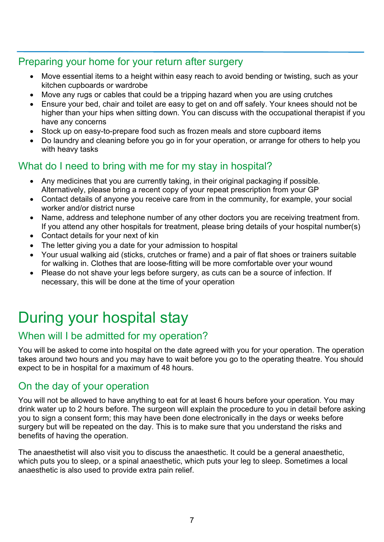#### Preparing your home for your return after surgery

- Move essential items to a height within easy reach to avoid bending or twisting, such as your kitchen cupboards or wardrobe
- Move any rugs or cables that could be a tripping hazard when you are using crutches
- Ensure your bed, chair and toilet are easy to get on and off safely. Your knees should not be higher than your hips when sitting down. You can discuss with the occupational therapist if you have any concerns
- Stock up on easy-to-prepare food such as frozen meals and store cupboard items
- Do laundry and cleaning before you go in for your operation, or arrange for others to help you with heavy tasks

#### What do I need to bring with me for my stay in hospital?

- Any medicines that you are currently taking, in their original packaging if possible. Alternatively, please bring a recent copy of your repeat prescription from your GP
- Contact details of anyone you receive care from in the community, for example, your social worker and/or district nurse
- Name, address and telephone number of any other doctors you are receiving treatment from. If you attend any other hospitals for treatment, please bring details of your hospital number(s)
- Contact details for your next of kin
- The letter giving you a date for your admission to hospital
- Your usual walking aid (sticks, crutches or frame) and a pair of flat shoes or trainers suitable for walking in. Clothes that are loose-fitting will be more comfortable over your wound
- Please do not shave your legs before surgery, as cuts can be a source of infection. If necessary, this will be done at the time of your operation

## During your hospital stay

#### When will I be admitted for my operation?

You will be asked to come into hospital on the date agreed with you for your operation. The operation takes around two hours and you may have to wait before you go to the operating theatre. You should expect to be in hospital for a maximum of 48 hours.

#### On the day of your operation

You will not be allowed to have anything to eat for at least 6 hours before your operation. You may drink water up to 2 hours before. The surgeon will explain the procedure to you in detail before asking you to sign a consent form; this may have been done electronically in the days or weeks before surgery but will be repeated on the day. This is to make sure that you understand the risks and benefits of having the operation.

The anaesthetist will also visit you to discuss the anaesthetic. It could be a general anaesthetic, which puts you to sleep, or a spinal anaesthetic, which puts your leg to sleep. Sometimes a local anaesthetic is also used to provide extra pain relief.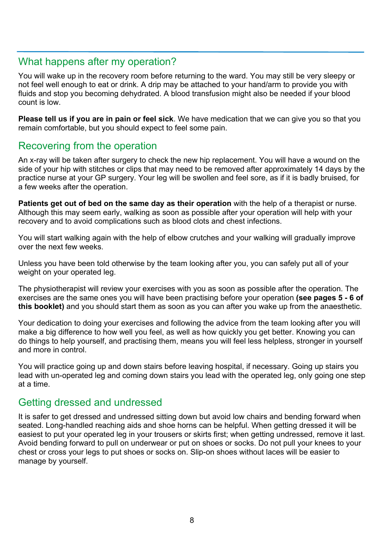#### What happens after my operation?

You will wake up in the recovery room before returning to the ward. You may still be very sleepy or not feel well enough to eat or drink. A drip may be attached to your hand/arm to provide you with fluids and stop you becoming dehydrated. A blood transfusion might also be needed if your blood count is low.

**Please tell us if you are in pain or feel sick**. We have medication that we can give you so that you remain comfortable, but you should expect to feel some pain.

#### Recovering from the operation

An x-ray will be taken after surgery to check the new hip replacement. You will have a wound on the side of your hip with stitches or clips that may need to be removed after approximately 14 days by the practice nurse at your GP surgery. Your leg will be swollen and feel sore, as if it is badly bruised, for a few weeks after the operation.

**Patients get out of bed on the same day as their operation** with the help of a therapist or nurse. Although this may seem early, walking as soon as possible after your operation will help with your recovery and to avoid complications such as blood clots and chest infections.

You will start walking again with the help of elbow crutches and your walking will gradually improve over the next few weeks.

Unless you have been told otherwise by the team looking after you, you can safely put all of your weight on your operated leg.

The physiotherapist will review your exercises with you as soon as possible after the operation. The exercises are the same ones you will have been practising before your operation **(see pages 5 - 6 of this booklet)** and you should start them as soon as you can after you wake up from the anaesthetic.

Your dedication to doing your exercises and following the advice from the team looking after you will make a big difference to how well you feel, as well as how quickly you get better. Knowing you can do things to help yourself, and practising them, means you will feel less helpless, stronger in yourself and more in control.

You will practice going up and down stairs before leaving hospital, if necessary. Going up stairs you lead with un-operated leg and coming down stairs you lead with the operated leg, only going one step at a time.

#### Getting dressed and undressed

It is safer to get dressed and undressed sitting down but avoid low chairs and bending forward when seated. Long-handled reaching aids and shoe horns can be helpful. When getting dressed it will be easiest to put your operated leg in your trousers or skirts first; when getting undressed, remove it last. Avoid bending forward to pull on underwear or put on shoes or socks. Do not pull your knees to your chest or cross your legs to put shoes or socks on. Slip-on shoes without laces will be easier to manage by yourself.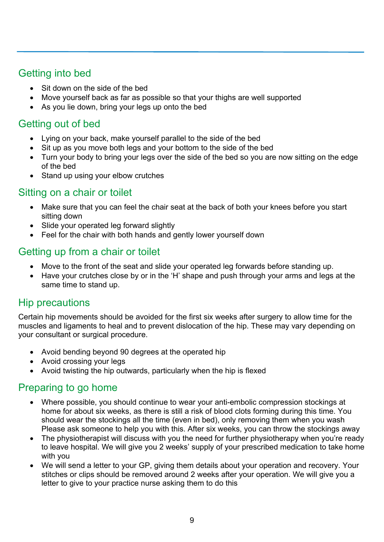## Getting into bed

- Sit down on the side of the bed
- Move yourself back as far as possible so that your thighs are well supported
- As you lie down, bring your legs up onto the bed

## Getting out of bed

- Lying on your back, make yourself parallel to the side of the bed
- Sit up as you move both legs and your bottom to the side of the bed
- Turn your body to bring your legs over the side of the bed so you are now sitting on the edge of the bed
- Stand up using your elbow crutches

#### Sitting on a chair or toilet

- Make sure that you can feel the chair seat at the back of both your knees before you start sitting down
- Slide your operated leg forward slightly
- Feel for the chair with both hands and gently lower yourself down

## Getting up from a chair or toilet

- Move to the front of the seat and slide your operated leg forwards before standing up.
- Have your crutches close by or in the 'H' shape and push through your arms and legs at the same time to stand up.

#### Hip precautions

Certain hip movements should be avoided for the first six weeks after surgery to allow time for the muscles and ligaments to heal and to prevent dislocation of the hip. These may vary depending on your consultant or surgical procedure.

- Avoid bending beyond 90 degrees at the operated hip
- Avoid crossing your legs
- Avoid twisting the hip outwards, particularly when the hip is flexed

## Preparing to go home

- Where possible, you should continue to wear your anti-embolic compression stockings at home for about six weeks, as there is still a risk of blood clots forming during this time. You should wear the stockings all the time (even in bed), only removing them when you wash Please ask someone to help you with this. After six weeks, you can throw the stockings away
- The physiotherapist will discuss with you the need for further physiotherapy when you're ready to leave hospital. We will give you 2 weeks' supply of your prescribed medication to take home with you
- We will send a letter to your GP, giving them details about your operation and recovery. Your stitches or clips should be removed around 2 weeks after your operation. We will give you a letter to give to your practice nurse asking them to do this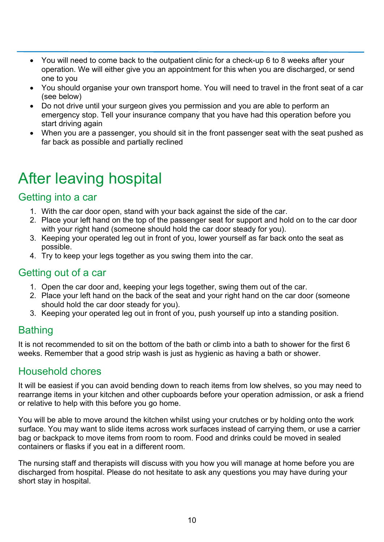- You will need to come back to the outpatient clinic for a check-up 6 to 8 weeks after your operation. We will either give you an appointment for this when you are discharged, or send one to you
- You should organise your own transport home. You will need to travel in the front seat of a car (see below)
- Do not drive until your surgeon gives you permission and you are able to perform an emergency stop. Tell your insurance company that you have had this operation before you start driving again
- When you are a passenger, you should sit in the front passenger seat with the seat pushed as far back as possible and partially reclined

## After leaving hospital

#### Getting into a car

- 1. With the car door open, stand with your back against the side of the car.
- 2. Place your left hand on the top of the passenger seat for support and hold on to the car door with your right hand (someone should hold the car door steady for you).
- 3. Keeping your operated leg out in front of you, lower yourself as far back onto the seat as possible.
- 4. Try to keep your legs together as you swing them into the car.

#### Getting out of a car

- 1. Open the car door and, keeping your legs together, swing them out of the car.
- 2. Place your left hand on the back of the seat and your right hand on the car door (someone should hold the car door steady for you).
- 3. Keeping your operated leg out in front of you, push yourself up into a standing position.

## Bathing

It is not recommended to sit on the bottom of the bath or climb into a bath to shower for the first 6 weeks. Remember that a good strip wash is just as hygienic as having a bath or shower.

#### Household chores

It will be easiest if you can avoid bending down to reach items from low shelves, so you may need to rearrange items in your kitchen and other cupboards before your operation admission, or ask a friend or relative to help with this before you go home.

You will be able to move around the kitchen whilst using your crutches or by holding onto the work surface. You may want to slide items across work surfaces instead of carrying them, or use a carrier bag or backpack to move items from room to room. Food and drinks could be moved in sealed containers or flasks if you eat in a different room.

The nursing staff and therapists will discuss with you how you will manage at home before you are discharged from hospital. Please do not hesitate to ask any questions you may have during your short stay in hospital.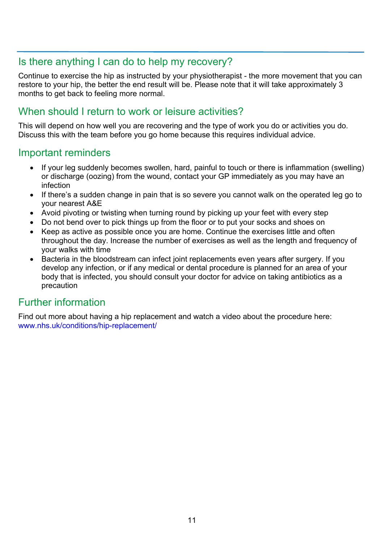#### Is there anything I can do to help my recovery?

Continue to exercise the hip as instructed by your physiotherapist - the more movement that you can restore to your hip, the better the end result will be. Please note that it will take approximately 3 months to get back to feeling more normal.

#### When should I return to work or leisure activities?

This will depend on how well you are recovering and the type of work you do or activities you do. Discuss this with the team before you go home because this requires individual advice.

#### Important reminders

- If your leg suddenly becomes swollen, hard, painful to touch or there is inflammation (swelling) or discharge (oozing) from the wound, contact your GP immediately as you may have an infection
- If there's a sudden change in pain that is so severe you cannot walk on the operated leg go to your nearest A&E
- Avoid pivoting or twisting when turning round by picking up your feet with every step
- Do not bend over to pick things up from the floor or to put your socks and shoes on
- Keep as active as possible once you are home. Continue the exercises little and often throughout the day. Increase the number of exercises as well as the length and frequency of your walks with time
- Bacteria in the bloodstream can infect joint replacements even years after surgery. If you develop any infection, or if any medical or dental procedure is planned for an area of your body that is infected, you should consult your doctor for advice on taking antibiotics as a precaution

## Further information

Find out more about having a hip replacement and watch a video about the procedure here: www.nhs.uk/conditions/hip-replacement/